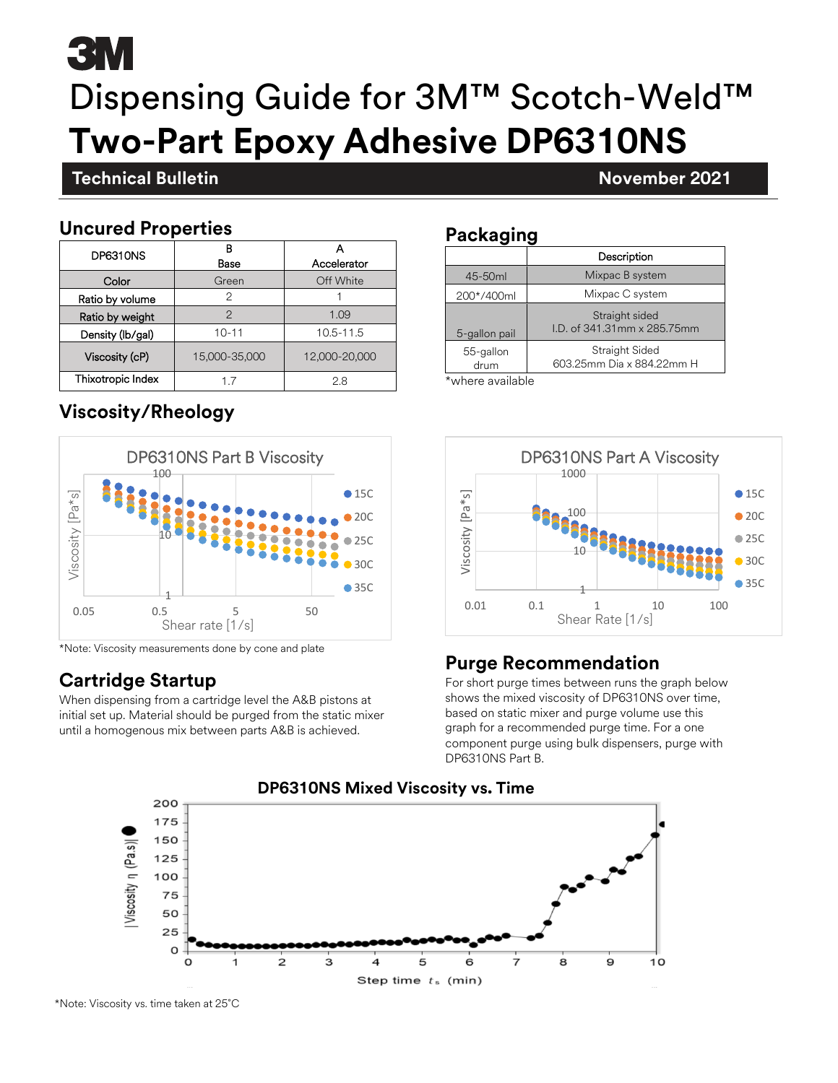# 5 T.V Dispensing Guide for 3M™ Scotch-Weld™ **Two-Part Epoxy Adhesive DP6310NS**

# **Technical Bulletin November 2021**

### **Uncured Properties**

**November 2021**

| DP6310NS          | R<br>Base     | Accelerator   |  |
|-------------------|---------------|---------------|--|
| Color             | Green         | Off White     |  |
| Ratio by volume   | 2             |               |  |
| Ratio by weight   | 2             | 1.09          |  |
| Density (lb/gal)  | $10 - 11$     | 10.5-11.5     |  |
| Viscosity (cP)    | 15,000-35,000 | 12,000-20,000 |  |
| Thixotropic Index | 17            | 2.8           |  |

# **Viscosity/Rheology**



\*Note: Viscosity measurements done by cone and plate

# **Cartridge Startup**

When dispensing from a cartridge level the A&B pistons at initial set up. Material should be purged from the static mixer until a homogenous mix between parts A&B is achieved.

#### **Packaging**

|                   | Description                                  |  |
|-------------------|----------------------------------------------|--|
| 45-50ml           | Mixpac B system                              |  |
| 200*/400ml        | Mixpac C system                              |  |
| 5-gallon pail     | Straight sided<br>LD, of 341,31mm x 285,75mm |  |
| 55-gallon<br>drum | Straight Sided<br>603.25mm Dia x 884.22mm H  |  |
| <br>.             |                                              |  |

\*where available



# **Purge Recommendation**

For short purge times between runs the graph below shows the mixed viscosity of DP6310NS over time, based on static mixer and purge volume use this graph for a recommended purge time. For a one component purge using bulk dispensers, purge with DP6310NS Part B.



### **DP6310NS Mixed Viscosity vs. Time**

\*Note: Viscosity vs. time taken at 25˚C